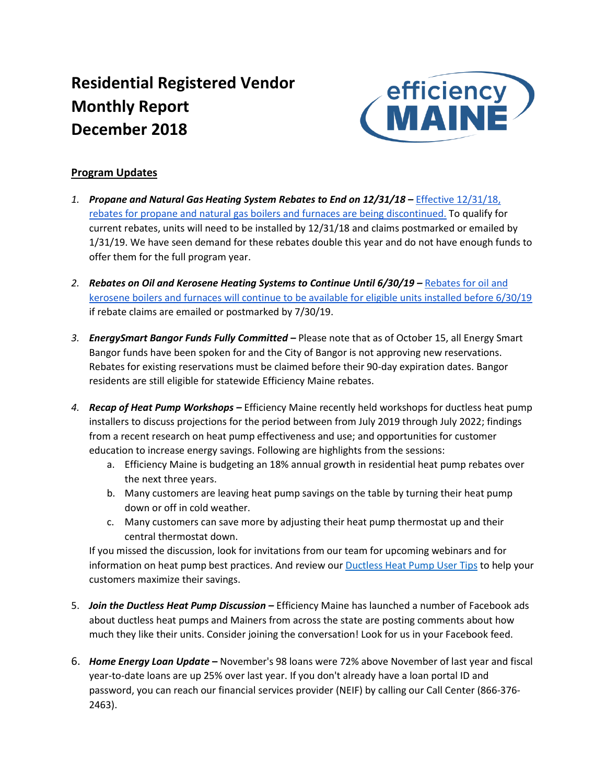# **Residential Registered Vendor Monthly Report December 2018**



## **Program Updates**

- *1. Propane and Natural Gas Heating System Rebates to End on 12/31/18 –* [Effective 12/31/18,](https://www.efficiencymaine.com/at-home/boilers-and-furnaces/)  [rebates for propane and natural gas boilers and furnaces are being discontinued.](https://www.efficiencymaine.com/at-home/boilers-and-furnaces/) To qualify for current rebates, units will need to be installed by 12/31/18 and claims postmarked or emailed by 1/31/19. We have seen demand for these rebates double this year and do not have enough funds to offer them for the full program year.
- *2. Rebates on Oil and Kerosene Heating Systems to Continue Until 6/30/19 –* [Rebates for oil and](https://www.efficiencymaine.com/at-home/boilers-and-furnaces/)  [kerosene boilers and furnaces will continue to be available for eligible units installed before 6/30/19](https://www.efficiencymaine.com/at-home/boilers-and-furnaces/) if rebate claims are emailed or postmarked by 7/30/19.
- *3. EnergySmart Bangor Funds Fully Committed –* Please note that as of October 15, all Energy Smart Bangor funds have been spoken for and the City of Bangor is not approving new reservations. Rebates for existing reservations must be claimed before their 90-day expiration dates. Bangor residents are still eligible for statewide Efficiency Maine rebates.
- *4. Recap of Heat Pump Workshops –* Efficiency Maine recently held workshops for ductless heat pump installers to discuss projections for the period between from July 2019 through July 2022; findings from a recent research on heat pump effectiveness and use; and opportunities for customer education to increase energy savings. Following are highlights from the sessions:
	- a. Efficiency Maine is budgeting an 18% annual growth in residential heat pump rebates over the next three years.
	- b. Many customers are leaving heat pump savings on the table by turning their heat pump down or off in cold weather.
	- c. Many customers can save more by adjusting their heat pump thermostat up and their central thermostat down.

If you missed the discussion, look for invitations from our team for upcoming webinars and for information on heat pump best practices. And review our [Ductless Heat Pump User Tips](https://www.efficiencymaine.com/docs/Heat-Pump-User-Tips.pdf) to help your customers maximize their savings.

- 5. *Join the Ductless Heat Pump Discussion –* Efficiency Maine has launched a number of Facebook ads about ductless heat pumps and Mainers from across the state are posting comments about how much they like their units. Consider joining the conversation! Look for us in your Facebook feed.
- 6. *Home Energy Loan Update* **–** November's 98 loans were 72% above November of last year and fiscal year-to-date loans are up 25% over last year. If you don't already have a loan portal ID and password, you can reach our financial services provider (NEIF) by calling our Call Center (866-376- 2463).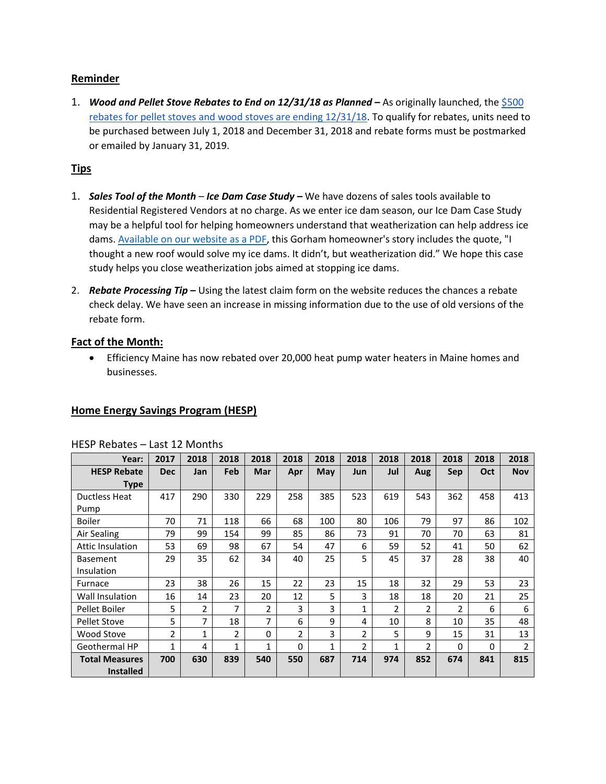## **Reminder**

1. *Wood and Pellet Stove Rebates to End on 12/31/18 as Planned* – As originally launched, the \$500 [rebates for pellet stoves and wood stoves are ending 12/31/18.](https://www.efficiencymaine.com/at-home/pelletwood-stoves/) To qualify for rebates, units need to be purchased between July 1, 2018 and December 31, 2018 and rebate forms must be postmarked or emailed by January 31, 2019.

## **Tips**

- 1. *Sales Tool of the Month Ice Dam Case Study –* We have dozens of sales tools available to Residential Registered Vendors at no charge. As we enter ice dam season, our Ice Dam Case Study may be a helpful tool for helping homeowners understand that weatherization can help address ice dams[. Available on our website as a PDF,](https://www.efficiencymaine.com/docs/NoMoreIceDamsCaseStudy.pdf) this Gorham homeowner's story includes the quote, "I thought a new roof would solve my ice dams. It didn't, but weatherization did." We hope this case study helps you close weatherization jobs aimed at stopping ice dams.
- 2. *Rebate Processing Tip* **–** Using the latest claim form on the website reduces the chances a rebate check delay. We have seen an increase in missing information due to the use of old versions of the rebate form.

## **Fact of the Month:**

• Efficiency Maine has now rebated over 20,000 heat pump water heaters in Maine homes and businesses.

## **Home Energy Savings Program (HESP)**

| Year:                   | 2017       | 2018           | 2018 | 2018     | 2018           | 2018 | 2018           | 2018           | 2018           | 2018           | 2018 | 2018           |
|-------------------------|------------|----------------|------|----------|----------------|------|----------------|----------------|----------------|----------------|------|----------------|
| <b>HESP Rebate</b>      | <b>Dec</b> | Jan            | Feb  | Mar      | Apr            | May  | Jun            | Jul            | Aug            | Sep            | Oct  | <b>Nov</b>     |
| Type                    |            |                |      |          |                |      |                |                |                |                |      |                |
| <b>Ductless Heat</b>    | 417        | 290            | 330  | 229      | 258            | 385  | 523            | 619            | 543            | 362            | 458  | 413            |
| Pump                    |            |                |      |          |                |      |                |                |                |                |      |                |
| Boiler                  | 70         | 71             | 118  | 66       | 68             | 100  | 80             | 106            | 79             | 97             | 86   | 102            |
| Air Sealing             | 79         | 99             | 154  | 99       | 85             | 86   | 73             | 91             | 70             | 70             | 63   | 81             |
| <b>Attic Insulation</b> | 53         | 69             | 98   | 67       | 54             | 47   | 6              | 59             | 52             | 41             | 50   | 62             |
| <b>Basement</b>         | 29         | 35             | 62   | 34       | 40             | 25   | 5              | 45             | 37             | 28             | 38   | 40             |
| Insulation              |            |                |      |          |                |      |                |                |                |                |      |                |
| Furnace                 | 23         | 38             | 26   | 15       | 22             | 23   | 15             | 18             | 32             | 29             | 53   | 23             |
| Wall Insulation         | 16         | 14             | 23   | 20       | 12             | 5    | 3              | 18             | 18             | 20             | 21   | 25             |
| Pellet Boiler           | 5          | $\overline{2}$ | 7    | 2        | 3              | 3    | 1              | $\overline{2}$ | $\overline{2}$ | $\overline{2}$ | 6    | 6              |
| <b>Pellet Stove</b>     | 5          | 7              | 18   | 7        | 6              | 9    | 4              | 10             | 8              | 10             | 35   | 48             |
| Wood Stove              | 2          | $\mathbf{1}$   | 2    | $\Omega$ | $\overline{2}$ | 3    | $\mathfrak z$  | 5              | 9              | 15             | 31   | 13             |
| <b>Geothermal HP</b>    | 1          | 4              | 1    | 1        | $\Omega$       | 1    | $\overline{2}$ | 1              | $\overline{2}$ | 0              | 0    | $\overline{2}$ |
| <b>Total Measures</b>   | 700        | 630            | 839  | 540      | 550            | 687  | 714            | 974            | 852            | 674            | 841  | 815            |
| <b>Installed</b>        |            |                |      |          |                |      |                |                |                |                |      |                |

#### HESP Rebates – Last 12 Months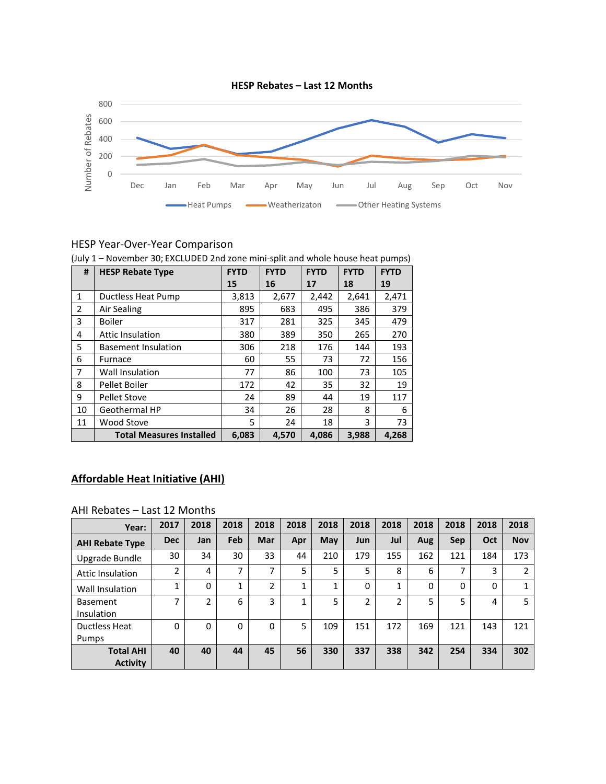

## HESP Year-Over-Year Comparison

|    | (July 1 – November 30; EXCLUDED 2nd zone mini-split and whole house heat pumps) |             |             |             |             |             |
|----|---------------------------------------------------------------------------------|-------------|-------------|-------------|-------------|-------------|
| #  | <b>HESP Rebate Type</b>                                                         | <b>FYTD</b> | <b>FYTD</b> | <b>FYTD</b> | <b>FYTD</b> | <b>FYTD</b> |
|    |                                                                                 | 15          | 16          | 17          | 18          | 19          |
| 1  | Ductless Heat Pump                                                              | 3,813       | 2,677       | 2,442       | 2,641       | 2,471       |
| 2  | Air Sealing                                                                     | 895         | 683         | 495         | 386         | 379         |
| 3  | <b>Boiler</b>                                                                   | 317         | 281         | 325         | 345         | 479         |
| 4  | <b>Attic Insulation</b>                                                         | 380         | 389         | 350         | 265         | 270         |
| 5  | <b>Basement Insulation</b>                                                      | 306         | 218         | 176         | 144         | 193         |
| 6  | Furnace                                                                         | 60          | 55          | 73          | 72          | 156         |
| 7  | <b>Wall Insulation</b>                                                          | 77          | 86          | 100         | 73          | 105         |
| 8  | Pellet Boiler                                                                   | 172         | 42          | 35          | 32          | 19          |
| 9  | <b>Pellet Stove</b>                                                             | 24          | 89          | 44          | 19          | 117         |
| 10 | Geothermal HP                                                                   | 34          | 26          | 28          | 8           | 6           |
| 11 | Wood Stove                                                                      | 5           | 24          | 18          | 3           | 73          |
|    | <b>Total Measures Installed</b>                                                 | 6,083       | 4,570       | 4,086       | 3,988       | 4,268       |

(July 1 – November 30; EXCLUDED 2nd zone mini-split and whole house heat pumps)

## **Affordable Heat Initiative (AHI)**

#### AHI Rebates – Last 12 Months

| Year:                               | 2017       | 2018 | 2018           | 2018 | 2018 | 2018 | 2018           | 2018         | 2018 | 2018 | 2018 | 2018       |
|-------------------------------------|------------|------|----------------|------|------|------|----------------|--------------|------|------|------|------------|
| <b>AHI Rebate Type</b>              | <b>Dec</b> | Jan  | Feb            | Mar  | Apr  | May  | Jun            | Jul          | Aug  | Sep  | Oct  | <b>Nov</b> |
| Upgrade Bundle                      | 30         | 34   | 30             | 33   | 44   | 210  | 179            | 155          | 162  | 121  | 184  | 173        |
| Attic Insulation                    | 2          | 4    | $\overline{ }$ | 7    | 5    | 5    | 5              | 8            | 6    | 7    | 3    | 2          |
| Wall Insulation                     | 1          | 0    | 4<br>л.        | 2    |      | 1    | 0              | $\mathbf{1}$ | 0    | 0    | 0    |            |
| <b>Basement</b><br>Insulation       | ⇁          | 2    | 6              | 3    |      | 5    | $\overline{2}$ | ำ            | 5    | 5    | 4    | 5          |
| Ductless Heat                       | 0          | 0    | 0              | 0    | 5    | 109  | 151            | 172          | 169  | 121  | 143  | 121        |
| Pumps                               |            |      |                |      |      |      |                |              |      |      |      |            |
| <b>Total AHI</b><br><b>Activity</b> | 40         | 40   | 44             | 45   | 56   | 330  | 337            | 338          | 342  | 254  | 334  | 302        |